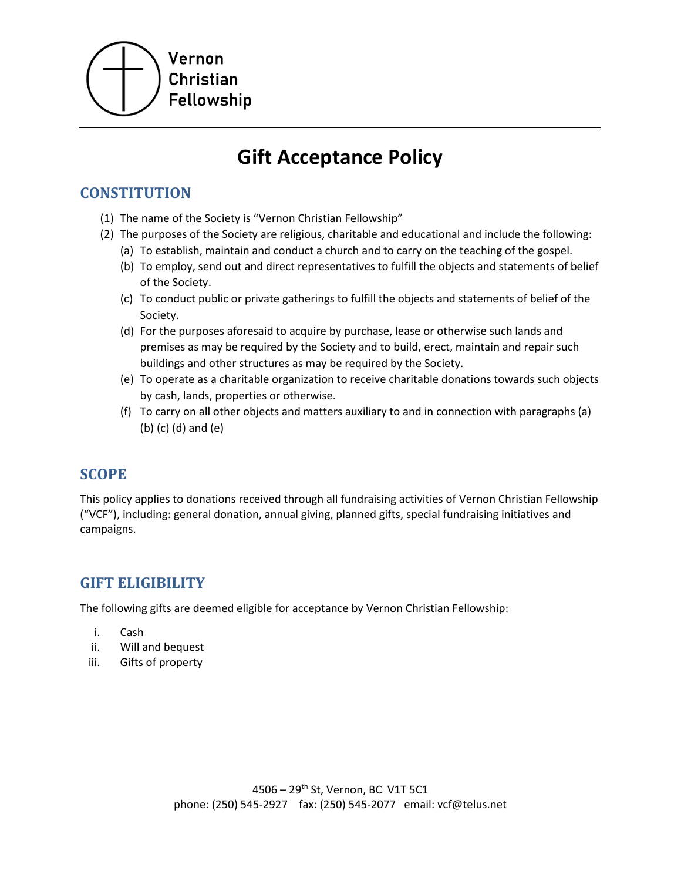

# **Gift Acceptance Policy**

## **CONSTITUTION**

- (1) The name of the Society is "Vernon Christian Fellowship"
- (2) The purposes of the Society are religious, charitable and educational and include the following:
	- (a) To establish, maintain and conduct a church and to carry on the teaching of the gospel.
	- (b) To employ, send out and direct representatives to fulfill the objects and statements of belief of the Society.
	- (c) To conduct public or private gatherings to fulfill the objects and statements of belief of the Society.
	- (d) For the purposes aforesaid to acquire by purchase, lease or otherwise such lands and premises as may be required by the Society and to build, erect, maintain and repair such buildings and other structures as may be required by the Society.
	- (e) To operate as a charitable organization to receive charitable donations towards such objects by cash, lands, properties or otherwise.
	- (f) To carry on all other objects and matters auxiliary to and in connection with paragraphs (a) (b) (c) (d) and (e)

### **SCOPE**

This policy applies to donations received through all fundraising activities of Vernon Christian Fellowship ("VCF"), including: general donation, annual giving, planned gifts, special fundraising initiatives and campaigns.

## **GIFT ELIGIBILITY**

The following gifts are deemed eligible for acceptance by Vernon Christian Fellowship:

- i. Cash
- ii. Will and bequest
- iii. Gifts of property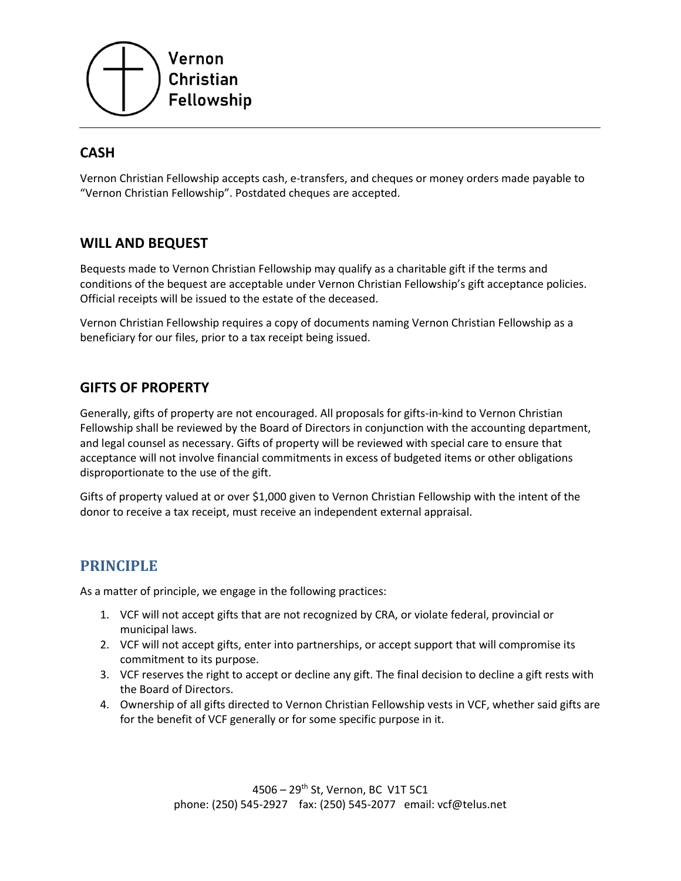

## **CASH**

Vernon Christian Fellowship accepts cash, e-transfers, and cheques or money orders made payable to "Vernon Christian Fellowship". Postdated cheques are accepted.

#### **WILL AND BEQUEST**

Bequests made to Vernon Christian Fellowship may qualify as a charitable gift if the terms and conditions of the bequest are acceptable under Vernon Christian Fellowship's gift acceptance policies. Official receipts will be issued to the estate of the deceased.

Vernon Christian Fellowship requires a copy of documents naming Vernon Christian Fellowship as a beneficiary for our files, prior to a tax receipt being issued.

#### **GIFTS OF PROPERTY**

Generally, gifts of property are not encouraged. All proposals for gifts-in-kind to Vernon Christian Fellowship shall be reviewed by the Board of Directors in conjunction with the accounting department, and legal counsel as necessary. Gifts of property will be reviewed with special care to ensure that acceptance will not involve financial commitments in excess of budgeted items or other obligations disproportionate to the use of the gift.

Gifts of property valued at or over \$1,000 given to Vernon Christian Fellowship with the intent of the donor to receive a tax receipt, must receive an independent external appraisal.

#### **PRINCIPLE**

As a matter of principle, we engage in the following practices:

- 1. VCF will not accept gifts that are not recognized by CRA, or violate federal, provincial or municipal laws.
- 2. VCF will not accept gifts, enter into partnerships, or accept support that will compromise its commitment to its purpose.
- 3. VCF reserves the right to accept or decline any gift. The final decision to decline a gift rests with the Board of Directors.
- 4. Ownership of all gifts directed to Vernon Christian Fellowship vests in VCF, whether said gifts are for the benefit of VCF generally or for some specific purpose in it.